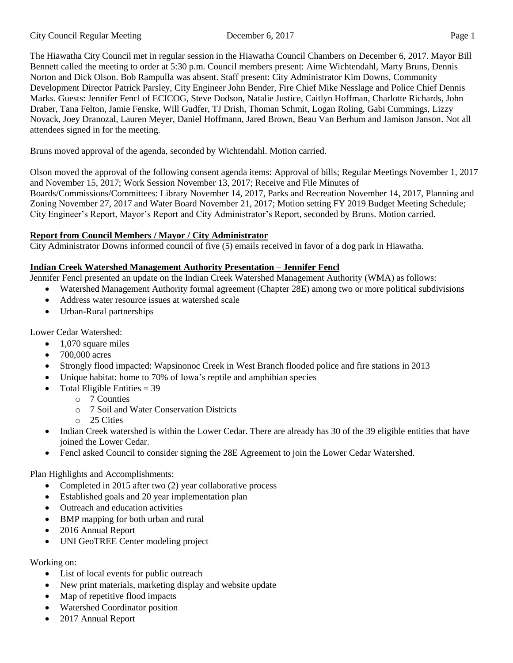The Hiawatha City Council met in regular session in the Hiawatha Council Chambers on December 6, 2017. Mayor Bill Bennett called the meeting to order at 5:30 p.m. Council members present: Aime Wichtendahl, Marty Bruns, Dennis Norton and Dick Olson. Bob Rampulla was absent. Staff present: City Administrator Kim Downs, Community Development Director Patrick Parsley, City Engineer John Bender, Fire Chief Mike Nesslage and Police Chief Dennis Marks. Guests: Jennifer Fencl of ECICOG, Steve Dodson, Natalie Justice, Caitlyn Hoffman, Charlotte Richards, John Draber, Tana Felton, Jamie Fenske, Will Gudfer, TJ Drish, Thoman Schmit, Logan Roling, Gabi Cummings, Lizzy Novack, Joey Dranozal, Lauren Meyer, Daniel Hoffmann, Jared Brown, Beau Van Berhum and Jamison Janson. Not all attendees signed in for the meeting.

Bruns moved approval of the agenda, seconded by Wichtendahl. Motion carried.

Olson moved the approval of the following consent agenda items: Approval of bills; Regular Meetings November 1, 2017 and November 15, 2017; Work Session November 13, 2017; Receive and File Minutes of Boards/Commissions/Committees: Library November 14, 2017, Parks and Recreation November 14, 2017, Planning and Zoning November 27, 2017 and Water Board November 21, 2017; Motion setting FY 2019 Budget Meeting Schedule; City Engineer's Report, Mayor's Report and City Administrator's Report, seconded by Bruns. Motion carried.

## **Report from Council Members / Mayor / City Administrator**

City Administrator Downs informed council of five (5) emails received in favor of a dog park in Hiawatha.

### **Indian Creek Watershed Management Authority Presentation – Jennifer Fencl**

Jennifer Fencl presented an update on the Indian Creek Watershed Management Authority (WMA) as follows:

- Watershed Management Authority formal agreement (Chapter 28E) among two or more political subdivisions
- Address water resource issues at watershed scale
- Urban-Rural partnerships

Lower Cedar Watershed:

- 1,070 square miles
- 700,000 acres
- Strongly flood impacted: Wapsinonoc Creek in West Branch flooded police and fire stations in 2013
- Unique habitat: home to 70% of Iowa's reptile and amphibian species
- Total Eligible Entities  $=$  39
	- o 7 Counties
	- o 7 Soil and Water Conservation Districts
	- o 25 Cities
- Indian Creek watershed is within the Lower Cedar. There are already has 30 of the 39 eligible entities that have joined the Lower Cedar.
- Fencl asked Council to consider signing the 28E Agreement to join the Lower Cedar Watershed.

Plan Highlights and Accomplishments:

- Completed in 2015 after two (2) year collaborative process
- Established goals and 20 year implementation plan
- Outreach and education activities
- BMP mapping for both urban and rural
- 2016 Annual Report
- UNI GeoTREE Center modeling project

## Working on:

- List of local events for public outreach
- New print materials, marketing display and website update
- Map of repetitive flood impacts
- Watershed Coordinator position
- 2017 Annual Report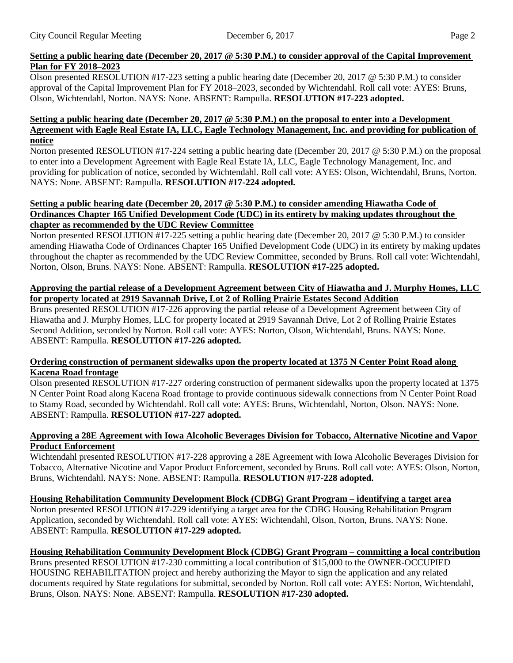### Setting a public hearing date (December 20, 2017  $\oslash$  5:30 P.M.) to consider approval of the Capital Improvement **Plan for FY 2018–2023**

Olson presented RESOLUTION #17-223 setting a public hearing date (December 20, 2017 @ 5:30 P.M.) to consider approval of the Capital Improvement Plan for FY 2018–2023, seconded by Wichtendahl. Roll call vote: AYES: Bruns, Olson, Wichtendahl, Norton. NAYS: None. ABSENT: Rampulla. **RESOLUTION #17-223 adopted.**

#### Setting a public hearing date (December 20, 2017  $\circledcirc$  5:30 P.M.) on the proposal to enter into a Development **Agreement with Eagle Real Estate IA, LLC, Eagle Technology Management, Inc. and providing for publication of notice**

Norton presented RESOLUTION #17-224 setting a public hearing date (December 20, 2017 @ 5:30 P.M.) on the proposal to enter into a Development Agreement with Eagle Real Estate IA, LLC, Eagle Technology Management, Inc. and providing for publication of notice, seconded by Wichtendahl. Roll call vote: AYES: Olson, Wichtendahl, Bruns, Norton. NAYS: None. ABSENT: Rampulla. **RESOLUTION #17-224 adopted.**

#### **Setting a public hearing date (December 20, 2017 @ 5:30 P.M.) to consider amending Hiawatha Code of Ordinances Chapter 165 Unified Development Code (UDC) in its entirety by making updates throughout the chapter as recommended by the UDC Review Committee**

Norton presented RESOLUTION #17-225 setting a public hearing date (December 20, 2017 @ 5:30 P.M.) to consider amending Hiawatha Code of Ordinances Chapter 165 Unified Development Code (UDC) in its entirety by making updates throughout the chapter as recommended by the UDC Review Committee, seconded by Bruns. Roll call vote: Wichtendahl, Norton, Olson, Bruns. NAYS: None. ABSENT: Rampulla. **RESOLUTION #17-225 adopted.**

### Approving the partial release of a Development Agreement between City of Hiawatha and J. Murphy Homes, LLC **for property located at 2919 Savannah Drive, Lot 2 of Rolling Prairie Estates Second Addition**

Bruns presented RESOLUTION #17-226 approving the partial release of a Development Agreement between City of Hiawatha and J. Murphy Homes, LLC for property located at 2919 Savannah Drive, Lot 2 of Rolling Prairie Estates Second Addition, seconded by Norton. Roll call vote: AYES: Norton, Olson, Wichtendahl, Bruns. NAYS: None. ABSENT: Rampulla. **RESOLUTION #17-226 adopted.**

#### **Ordering construction of permanent sidewalks upon the property located at 1375 N Center Point Road along Kacena Road frontage**

Olson presented RESOLUTION #17-227 ordering construction of permanent sidewalks upon the property located at 1375 N Center Point Road along Kacena Road frontage to provide continuous sidewalk connections from N Center Point Road to Stamy Road, seconded by Wichtendahl. Roll call vote: AYES: Bruns, Wichtendahl, Norton, Olson. NAYS: None. ABSENT: Rampulla. **RESOLUTION #17-227 adopted.**

#### **Approving a 28E Agreement with Iowa Alcoholic Beverages Division for Tobacco, Alternative Nicotine and Vapor Product Enforcement**

Wichtendahl presented RESOLUTION #17-228 approving a 28E Agreement with Iowa Alcoholic Beverages Division for Tobacco, Alternative Nicotine and Vapor Product Enforcement, seconded by Bruns. Roll call vote: AYES: Olson, Norton, Bruns, Wichtendahl. NAYS: None. ABSENT: Rampulla. **RESOLUTION #17-228 adopted.**

## **Housing Rehabilitation Community Development Block (CDBG) Grant Program – identifying a target area**

Norton presented RESOLUTION #17-229 identifying a target area for the CDBG Housing Rehabilitation Program Application, seconded by Wichtendahl. Roll call vote: AYES: Wichtendahl, Olson, Norton, Bruns. NAYS: None. ABSENT: Rampulla. **RESOLUTION #17-229 adopted.**

## **Housing Rehabilitation Community Development Block (CDBG) Grant Program – committing a local contribution**

Bruns presented RESOLUTION #17-230 committing a local contribution of \$15,000 to the OWNER-OCCUPIED HOUSING REHABILITATION project and hereby authorizing the Mayor to sign the application and any related documents required by State regulations for submittal, seconded by Norton. Roll call vote: AYES: Norton, Wichtendahl, Bruns, Olson. NAYS: None. ABSENT: Rampulla. **RESOLUTION #17-230 adopted.**